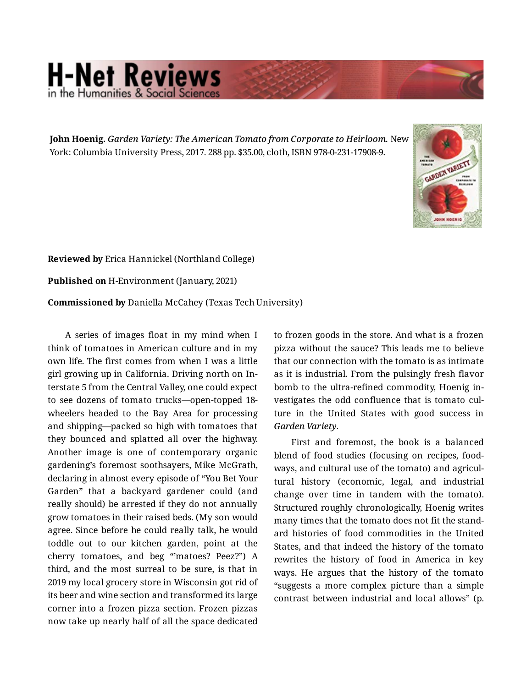## **H-Net Reviews** in the Humanities & Social Scie

**John Hoenig.** *Garden Variety: The American Tomato from Corporate to Heirloom.* New York: Columbia University Press, 2017. 288 pp. \$35.00, cloth, ISBN 978-0-231-17908-9.



**Reviewed by** Erica Hannickel (Northland College) **Published on** H-Environment (January, 2021) **Commissioned by** Daniella McCahey (Texas Tech University)

A series of images float in my mind when I think of tomatoes in American culture and in my own life. The first comes from when I was a little girl growing up in California. Driving north on In‐ terstate 5 from the Central Valley, one could expect to see dozens of tomato trucks—open-topped 18 wheelers headed to the Bay Area for processing and shipping—packed so high with tomatoes that they bounced and splatted all over the highway. Another image is one of contemporary organic gardening's foremost soothsayers, Mike McGrath, declaring in almost every episode of "You Bet Your Garden" that a backyard gardener could (and really should) be arrested if they do not annually grow tomatoes in their raised beds. (My son would agree. Since before he could really talk, he would toddle out to our kitchen garden, point at the cherry tomatoes, and beg "'matoes? Peez?") A third, and the most surreal to be sure, is that in 2019 my local grocery store in Wisconsin got rid of its beer and wine section and transformed its large corner into a frozen pizza section. Frozen pizzas now take up nearly half of all the space dedicated

to frozen goods in the store. And what is a frozen pizza without the sauce? This leads me to believe that our connection with the tomato is as intimate as it is industrial. From the pulsingly fresh flavor bomb to the ultra-refined commodity, Hoenig in‐ vestigates the odd confluence that is tomato cul‐ ture in the United States with good success in *Garden Variety*.

First and foremost, the book is a balanced blend of food studies (focusing on recipes, food‐ ways, and cultural use of the tomato) and agricul‐ tural history (economic, legal, and industrial change over time in tandem with the tomato). Structured roughly chronologically, Hoenig writes many times that the tomato does not fit the stand‐ ard histories of food commodities in the United States, and that indeed the history of the tomato rewrites the history of food in America in key ways. He argues that the history of the tomato "suggests a more complex picture than a simple contrast between industrial and local allows" (p.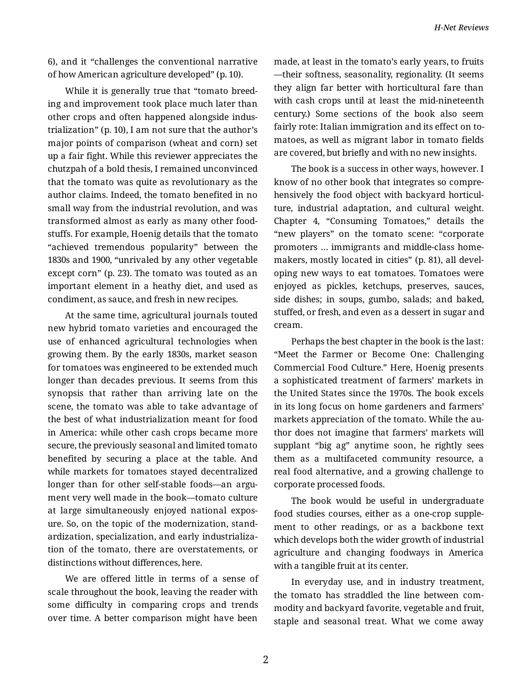*H-Net Reviews*

6), and it "challenges the conventional narrative of how American agriculture developed" (p. 10).

While it is generally true that "tomato breed‐ ing and improvement took place much later than other crops and often happened alongside indus‐ trialization" (p. 10), I am not sure that the author's major points of comparison (wheat and corn) set up a fair fight. While this reviewer appreciates the chutzpah of a bold thesis, I remained unconvinced that the tomato was quite as revolutionary as the author claims. Indeed, the tomato benefited in no small way from the industrial revolution, and was transformed almost as early as many other food‐ stuffs. For example, Hoenig details that the tomato "achieved tremendous popularity" between the 1830s and 1900, "unrivaled by any other vegetable except corn" (p. 23). The tomato was touted as an important element in a heathy diet, and used as condiment, as sauce, and fresh in new recipes.

At the same time, agricultural journals touted new hybrid tomato varieties and encouraged the use of enhanced agricultural technologies when growing them. By the early 1830s, market season for tomatoes was engineered to be extended much longer than decades previous. It seems from this synopsis that rather than arriving late on the scene, the tomato was able to take advantage of the best of what industrialization meant for food in America: while other cash crops became more secure, the previously seasonal and limited tomato benefited by securing a place at the table. And while markets for tomatoes stayed decentralized longer than for other self-stable foods—an argument very well made in the book—tomato culture at large simultaneously enjoyed national expos‐ ure. So, on the topic of the modernization, stand‐ ardization, specialization, and early industrializa‐ tion of the tomato, there are overstatements, or distinctions without differences, here.

We are offered little in terms of a sense of scale throughout the book, leaving the reader with some difficulty in comparing crops and trends over time. A better comparison might have been

made, at least in the tomato's early years, to fruits —their softness, seasonality, regionality. (It seems they align far better with horticultural fare than with cash crops until at least the mid-nineteenth century.) Some sections of the book also seem fairly rote: Italian immigration and its effect on to‐ matoes, as well as migrant labor in tomato fields are covered, but briefly and with no new insights.

The book is a success in other ways, however. I know of no other book that integrates so compre‐ hensively the food object with backyard horticul‐ ture, industrial adaptation, and cultural weight. Chapter 4, "Consuming Tomatoes," details the "new players" on the tomato scene: "corporate promoters … immigrants and middle-class home‐ makers, mostly located in cities" (p. 81), all devel‐ oping new ways to eat tomatoes. Tomatoes were enjoyed as pickles, ketchups, preserves, sauces, side dishes; in soups, gumbo, salads; and baked, stuffed, or fresh, and even as a dessert in sugar and cream.

Perhaps the best chapter in the book is the last: "Meet the Farmer or Become One: Challenging Commercial Food Culture." Here, Hoenig presents a sophisticated treatment of farmers' markets in the United States since the 1970s. The book excels in its long focus on home gardeners and farmers' markets appreciation of the tomato. While the author does not imagine that farmers' markets will supplant "big ag" anytime soon, he rightly sees them as a multifaceted community resource, a real food alternative, and a growing challenge to corporate processed foods.

The book would be useful in undergraduate food studies courses, either as a one-crop supple‐ ment to other readings, or as a backbone text which develops both the wider growth of industrial agriculture and changing foodways in America with a tangible fruit at its center.

In everyday use, and in industry treatment, the tomato has straddled the line between com‐ modity and backyard favorite, vegetable and fruit, staple and seasonal treat. What we come away

2